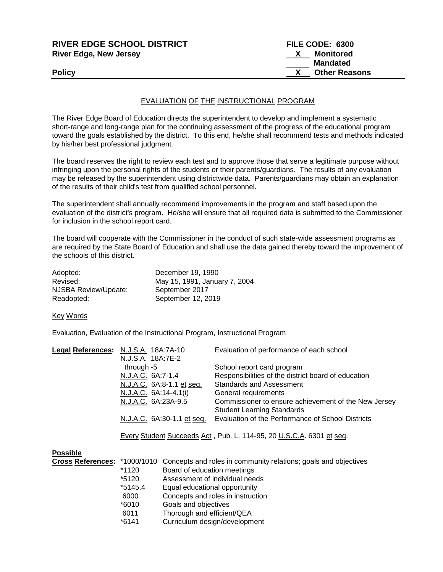| Mandated<br><b>Other Reasons</b> |                 |
|----------------------------------|-----------------|
|                                  |                 |
|                                  |                 |
| Monitored                        |                 |
|                                  |                 |
|                                  | FILE CODE: 6300 |

## EVALUATION OF THE INSTRUCTIONAL PROGRAM

The River Edge Board of Education directs the superintendent to develop and implement a systematic short-range and long-range plan for the continuing assessment of the progress of the educational program toward the goals established by the district. To this end, he/she shall recommend tests and methods indicated by his/her best professional judgment.

The board reserves the right to review each test and to approve those that serve a legitimate purpose without infringing upon the personal rights of the students or their parents/guardians. The results of any evaluation may be released by the superintendent using districtwide data. Parents/guardians may obtain an explanation of the results of their child's test from qualified school personnel.

The superintendent shall annually recommend improvements in the program and staff based upon the evaluation of the district's program. He/she will ensure that all required data is submitted to the Commissioner for inclusion in the school report card.

The board will cooperate with the Commissioner in the conduct of such state-wide assessment programs as are required by the State Board of Education and shall use the data gained thereby toward the improvement of the schools of this district.

| Adopted:             | December 19, 1990             |
|----------------------|-------------------------------|
| Revised:             | May 15, 1991, January 7, 2004 |
| NJSBA Review/Update: | September 2017                |
| Readopted:           | September 12, 2019            |

## Key Words

Evaluation, Evaluation of the Instructional Program, Instructional Program

| Legal References: N.J.S.A. 18A:7A-10 | Evaluation of performance of each school             |
|--------------------------------------|------------------------------------------------------|
| N.J.S.A. 18A:7E-2                    |                                                      |
| through $-5$                         | School report card program                           |
| N.J.A.C. 6A:7-1.4                    | Responsibilities of the district board of education  |
| N.J.A.C. 6A:8-1.1 et seq.            | <b>Standards and Assessment</b>                      |
| N.J.A.C. 6A:14-4.1(i)                | General requirements                                 |
| N.J.A.C. 6A:23A-9.5                  | Commissioner to ensure achievement of the New Jersey |
|                                      | <b>Student Learning Standards</b>                    |
| N.J.A.C. 6A:30-1.1 et seq.           | Evaluation of the Performance of School Districts    |
|                                      |                                                      |

Every Student Succeeds Act , Pub. L. 114-95, 20 U.S.C.A. 6301 et seq.

| <b>Possible</b> |           |                                                                                                     |
|-----------------|-----------|-----------------------------------------------------------------------------------------------------|
|                 |           | <b>Cross References:</b> *1000/1010 Concepts and roles in community relations; goals and objectives |
|                 | *1120     | Board of education meetings                                                                         |
|                 | *5120     | Assessment of individual needs                                                                      |
|                 | $*5145.4$ | Equal educational opportunity                                                                       |
|                 | 6000      | Concepts and roles in instruction                                                                   |
|                 | *6010     | Goals and objectives                                                                                |
|                 | 6011      | Thorough and efficient/QEA                                                                          |
|                 | $*6141$   | Curriculum design/development                                                                       |